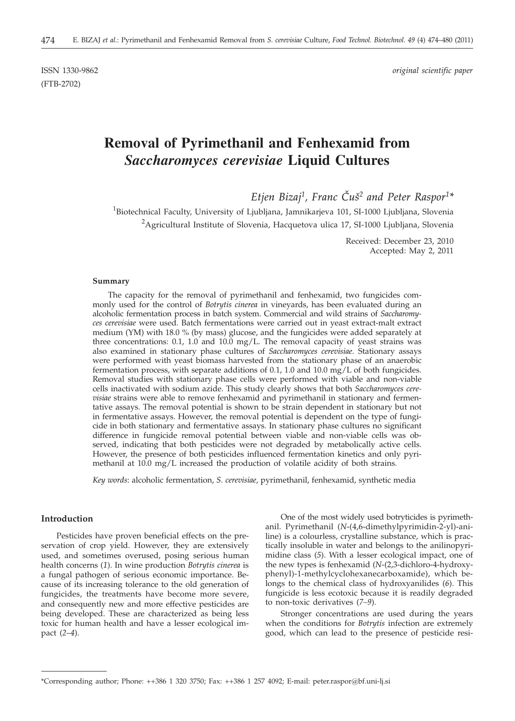(FTB-2702)

ISSN 1330-9862 *original scientific paper*

# **Removal of Pyrimethanil and Fenhexamid from** *Saccharomyces cerevisiae* **Liquid Cultures**

*Etjen Bizaj1, Franc ^u{2 and Peter Raspor1\**

 $^{\rm 1}$ Biotechnical Faculty, University of Ljubljana, Jamnikarjeva 101, SI-1000 Ljubljana, Slovenia <sup>2</sup>Agricultural Institute of Slovenia, Hacquetova ulica 17, SI-1000 Ljubljana, Slovenia

> Received: December 23, 2010 Accepted: May 2, 2011

#### **Summary**

The capacity for the removal of pyrimethanil and fenhexamid, two fungicides commonly used for the control of *Botrytis cinerea* in vineyards, has been evaluated during an alcoholic fermentation process in batch system. Commercial and wild strains of *Saccharomyces cerevisiae* were used. Batch fermentations were carried out in yeast extract-malt extract medium (YM) with 18.0 % (by mass) glucose, and the fungicides were added separately at three concentrations:  $0.1$ ,  $1.0$  and  $10.\overline{0}$  mg/L. The removal capacity of yeast strains was also examined in stationary phase cultures of *Saccharomyces cerevisiae*. Stationary assays were performed with yeast biomass harvested from the stationary phase of an anaerobic fermentation process, with separate additions of 0.1, 1.0 and 10.0 mg/L of both fungicides. Removal studies with stationary phase cells were performed with viable and non-viable cells inactivated with sodium azide. This study clearly shows that both *Saccharomyces cerevisiae* strains were able to remove fenhexamid and pyrimethanil in stationary and fermentative assays. The removal potential is shown to be strain dependent in stationary but not in fermentative assays. However, the removal potential is dependent on the type of fungicide in both stationary and fermentative assays. In stationary phase cultures no significant difference in fungicide removal potential between viable and non-viable cells was observed, indicating that both pesticides were not degraded by metabolically active cells. However, the presence of both pesticides influenced fermentation kinetics and only pyrimethanil at 10.0 mg/L increased the production of volatile acidity of both strains.

*Key words*: alcoholic fermentation, *S. cerevisiae*, pyrimethanil, fenhexamid, synthetic media

## **Introduction**

Pesticides have proven beneficial effects on the preservation of crop yield. However, they are extensively used, and sometimes overused, posing serious human health concerns (*1*). In wine production *Botrytis cinerea* is a fungal pathogen of serious economic importance. Because of its increasing tolerance to the old generation of fungicides, the treatments have become more severe, and consequently new and more effective pesticides are being developed. These are characterized as being less toxic for human health and have a lesser ecological impact (*2*–*4*).

One of the most widely used botryticides is pyrimethanil. Pyrimethanil (*N*-(4,6-dimethylpyrimidin-2-yl)-aniline) is a colourless, crystalline substance, which is practically insoluble in water and belongs to the anilinopyrimidine class (*5*). With a lesser ecological impact, one of the new types is fenhexamid (*N*-(2,3-dichloro-4-hydroxyphenyl)-1-methylcyclohexanecarboxamide), which belongs to the chemical class of hydroxyanilides (*6*). This fungicide is less ecotoxic because it is readily degraded to non-toxic derivatives (*7–9*).

Stronger concentrations are used during the years when the conditions for *Botrytis* infection are extremely good, which can lead to the presence of pesticide resi-

<sup>\*</sup>Corresponding author; Phone: ++386 1 320 3750; Fax: ++386 1 257 4092; E-mail: peter.raspor@bf.uni-lj.si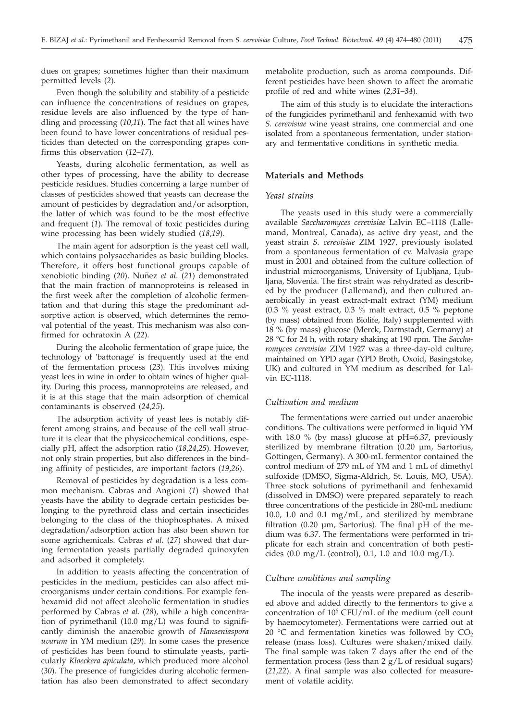dues on grapes; sometimes higher than their maximum permitted levels (*2*).

Even though the solubility and stability of a pesticide can influence the concentrations of residues on grapes, residue levels are also influenced by the type of handling and processing (*10*,*11*). The fact that all wines have been found to have lower concentrations of residual pesticides than detected on the corresponding grapes confirms this observation (*12–17*).

Yeasts, during alcoholic fermentation, as well as other types of processing, have the ability to decrease pesticide residues. Studies concerning a large number of classes of pesticides showed that yeasts can decrease the amount of pesticides by degradation and/or adsorption, the latter of which was found to be the most effective and frequent (*1*). The removal of toxic pesticides during wine processing has been widely studied (*18*,*19*).

The main agent for adsorption is the yeast cell wall, which contains polysaccharides as basic building blocks. Therefore, it offers host functional groups capable of xenobiotic binding (20). Nuñez et al. (21) demonstrated that the main fraction of mannoproteins is released in the first week after the completion of alcoholic fermentation and that during this stage the predominant adsorptive action is observed, which determines the removal potential of the yeast. This mechanism was also confirmed for ochratoxin A (*22*).

During the alcoholic fermentation of grape juice, the technology of 'battonage' is frequently used at the end of the fermentation process (*23*). This involves mixing yeast lees in wine in order to obtain wines of higher quality. During this process, mannoproteins are released, and it is at this stage that the main adsorption of chemical contaminants is observed (*24*,*25*).

The adsorption activity of yeast lees is notably different among strains, and because of the cell wall structure it is clear that the physicochemical conditions, especially pH, affect the adsorption ratio (*18*,*24*,*25*). However, not only strain properties, but also differences in the binding affinity of pesticides, are important factors (*19*,*26*).

Removal of pesticides by degradation is a less common mechanism. Cabras and Angioni (*1*) showed that yeasts have the ability to degrade certain pesticides belonging to the pyrethroid class and certain insecticides belonging to the class of the thiophosphates. A mixed degradation/adsorption action has also been shown for some agrichemicals. Cabras *et al.* (*27*) showed that during fermentation yeasts partially degraded quinoxyfen and adsorbed it completely.

In addition to yeasts affecting the concentration of pesticides in the medium, pesticides can also affect microorganisms under certain conditions. For example fenhexamid did not affect alcoholic fermentation in studies performed by Cabras *et al.* (*28*), while a high concentration of pyrimethanil (10.0 mg/L) was found to significantly diminish the anaerobic growth of *Hanseniaspora uvarum* in YM medium (*29*). In some cases the presence of pesticides has been found to stimulate yeasts, particularly *Kloeckera apiculata*, which produced more alcohol (*30*). The presence of fungicides during alcoholic fermentation has also been demonstrated to affect secondary

metabolite production, such as aroma compounds. Different pesticides have been shown to affect the aromatic profile of red and white wines (*2*,*31–34*).

The aim of this study is to elucidate the interactions of the fungicides pyrimethanil and fenhexamid with two *S. cerevisiae* wine yeast strains, one commercial and one isolated from a spontaneous fermentation, under stationary and fermentative conditions in synthetic media.

## **Materials and Methods**

#### *Yeast strains*

The yeasts used in this study were a commercially available *Saccharomyces cerevisiae* Lalvin EC–1118 (Lallemand, Montreal, Canada), as active dry yeast, and the yeast strain *S. cerevisiae* ZIM 1927, previously isolated from a spontaneous fermentation of cv. Malvasia grape must in 2001 and obtained from the culture collection of industrial microorganisms, University of Ljubljana, Ljubljana, Slovenia. The first strain was rehydrated as described by the producer (Lallemand), and then cultured anaerobically in yeast extract-malt extract (YM) medium (0.3 % yeast extract, 0.3 % malt extract, 0.5 % peptone (by mass) obtained from Biolife, Italy) supplemented with 18 % (by mass) glucose (Merck, Darmstadt, Germany) at 28 °C for 24 h, with rotary shaking at 190 rpm. The *Saccharomyces cerevisiae* ZIM 1927 was a three-day-old culture, maintained on YPD agar (YPD Broth, Oxoid, Basingstoke, UK) and cultured in YM medium as described for Lalvin EC-1118.

#### *Cultivation and medium*

The fermentations were carried out under anaerobic conditions. The cultivations were performed in liquid YM with 18.0 % (by mass) glucose at pH=6.37, previously sterilized by membrane filtration (0.20 µm, Sartorius, Göttingen, Germany). A 300-mL fermentor contained the control medium of 279 mL of YM and 1 mL of dimethyl sulfoxide (DMSO, Sigma-Aldrich, St. Louis, MO, USA). Three stock solutions of pyrimethanil and fenhexamid (dissolved in DMSO) were prepared separately to reach three concentrations of the pesticide in 280-mL medium: 10.0, 1.0 and 0.1 mg/mL, and sterilized by membrane filtration (0.20 µm, Sartorius). The final pH of the medium was 6.37. The fermentations were performed in triplicate for each strain and concentration of both pesticides  $(0.0 \text{ mg/L}$  (control), 0.1, 1.0 and 10.0 mg/L).

#### *Culture conditions and sampling*

The inocula of the yeasts were prepared as described above and added directly to the fermentors to give a concentration of 106 CFU/mL of the medium (cell count by haemocytometer). Fermentations were carried out at 20  $\degree$ C and fermentation kinetics was followed by CO<sub>2</sub> release (mass loss). Cultures were shaken/mixed daily. The final sample was taken 7 days after the end of the fermentation process (less than  $2 g/L$  of residual sugars) (*21,22*). A final sample was also collected for measurement of volatile acidity.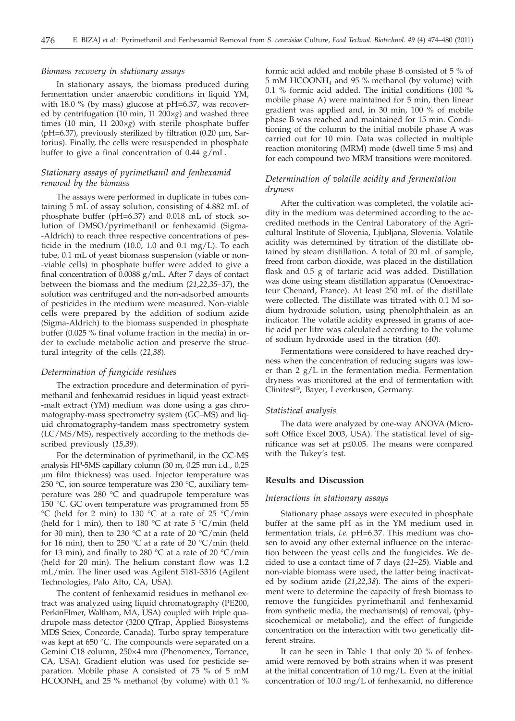## *Biomass recovery in stationary assays*

In stationary assays, the biomass produced during fermentation under anaerobic conditions in liquid YM, with 18.0 % (by mass) glucose at  $pH=6.37$ , was recovered by centrifugation (10 min, 11 200×*g*) and washed three times (10 min, 11 200×*g*) with sterile phosphate buffer ( $pH=6.37$ ), previously sterilized by filtration (0.20  $\mu$ m, Sartorius). Finally, the cells were resuspended in phosphate buffer to give a final concentration of 0.44 g/mL.

# *Stationary assays of pyrimethanil and fenhexamid removal by the biomass*

The assays were performed in duplicate in tubes containing 5 mL of assay solution, consisting of 4.882 mL of phosphate buffer (pH=6.37) and 0.018 mL of stock solution of DMSO/pyrimethanil or fenhexamid (Sigma- -Aldrich) to reach three respective concentrations of pesticide in the medium (10.0, 1.0 and 0.1 mg/L). To each tube, 0.1 mL of yeast biomass suspension (viable or non- -viable cells) in phosphate buffer were added to give a final concentration of 0.0088 g/mL. After 7 days of contact between the biomass and the medium (*21,22,35–37*), the solution was centrifuged and the non-adsorbed amounts of pesticides in the medium were measured. Non-viable cells were prepared by the addition of sodium azide (Sigma-Aldrich) to the biomass suspended in phosphate buffer (0.025 % final volume fraction in the media) in order to exclude metabolic action and preserve the structural integrity of the cells (*21,38*).

## *Determination of fungicide residues*

The extraction procedure and determination of pyrimethanil and fenhexamid residues in liquid yeast extract- -malt extract (YM) medium was done using a gas chromatography-mass spectrometry system (GC–MS) and liquid chromatography-tandem mass spectrometry system (LC/MS/MS), respectively according to the methods described previously (*15,39*).

For the determination of pyrimethanil, in the GC-MS analysis HP-5MS capillary column (30 m, 0.25 mm i.d., 0.25 ìm film thickness) was used. Injector temperature was 250 °C, ion source temperature was 230 °C, auxiliary temperature was 280 °C and quadrupole temperature was 150 °C. GC oven temperature was programmed from 55 °C (held for 2 min) to 130 °C at a rate of 25 °C/min (held for 1 min), then to 180  $\degree$ C at rate 5  $\degree$ C/min (held for 30 min), then to 230 °C at a rate of 20 °C/min (held for 16 min), then to 250 °C at a rate of 20 °C/min (held for 13 min), and finally to 280 °C at a rate of 20 °C/min (held for 20 min). The helium constant flow was 1.2 mL/min. The liner used was Agilent 5181-3316 (Agilent Technologies, Palo Alto, CA, USA).

The content of fenhexamid residues in methanol extract was analyzed using liquid chromatography (PE200, PerkinElmer, Waltham, MA, USA) coupled with triple quadrupole mass detector (3200 QTrap, Applied Biosystems MDS Sciex, Concorde, Canada). Turbo spray temperature was kept at 650 °C. The compounds were separated on a Gemini C18 column, 250×4 mm (Phenomenex, Torrance, CA, USA). Gradient elution was used for pesticide separation. Mobile phase A consisted of  $75\%$  of 5 mM  $HCOONH<sub>4</sub>$  and  $2\bar{5}$  % methanol (by volume) with 0.1 % formic acid added and mobile phase B consisted of 5 % of 5 mM HCOONH4 and 95 % methanol (by volume) with 0.1 % formic acid added. The initial conditions (100 % mobile phase A) were maintained for 5 min, then linear gradient was applied and, in 30 min, 100 % of mobile phase B was reached and maintained for 15 min. Conditioning of the column to the initial mobile phase A was carried out for 10 min. Data was collected in multiple reaction monitoring (MRM) mode (dwell time 5 ms) and for each compound two MRM transitions were monitored.

# *Determination of volatile acidity and fermentation dryness*

After the cultivation was completed, the volatile acidity in the medium was determined according to the accredited methods in the Central Laboratory of the Agricultural Institute of Slovenia, Ljubljana, Slovenia. Volatile acidity was determined by titration of the distillate obtained by steam distillation. A total of 20 mL of sample, freed from carbon dioxide, was placed in the distillation flask and 0.5 g of tartaric acid was added. Distillation was done using steam distillation apparatus (Oenoextracteur Chenard, France). At least 250 mL of the distillate were collected. The distillate was titrated with 0.1 M sodium hydroxide solution, using phenolphthalein as an indicator. The volatile acidity expressed in grams of acetic acid per litre was calculated according to the volume of sodium hydroxide used in the titration (*40*).

Fermentations were considered to have reached dryness when the concentration of reducing sugars was lower than 2 g/L in the fermentation media. Fermentation dryness was monitored at the end of fermentation with Clinitest®, Bayer, Leverkusen, Germany.

#### *Statistical analysis*

The data were analyzed by one-way ANOVA (Microsoft Office Excel 2003, USA). The statistical level of significance was set at  $p \leq 0.05$ . The means were compared with the Tukey's test.

## **Results and Discussion**

#### *Interactions in stationary assays*

Stationary phase assays were executed in phosphate buffer at the same pH as in the YM medium used in fermentation trials, *i.e.* pH=6.37. This medium was chosen to avoid any other external influence on the interaction between the yeast cells and the fungicides. We decided to use a contact time of 7 days (*21–25*). Viable and non-viable biomass were used, the latter being inactivated by sodium azide (*21,22,38*). The aims of the experiment were to determine the capacity of fresh biomass to remove the fungicides pyrimethanil and fenhexamid from synthetic media, the mechanism(s) of removal, (physicochemical or metabolic), and the effect of fungicide concentration on the interaction with two genetically different strains.

It can be seen in Table 1 that only 20 % of fenhexamid were removed by both strains when it was present at the initial concentration of 1.0 mg/L. Even at the initial concentration of 10.0 mg/L of fenhexamid, no difference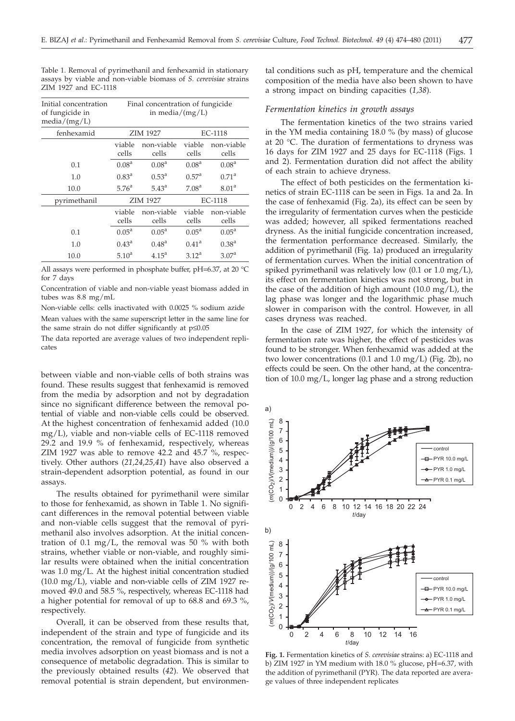| Initial concentration<br>of fungicide in<br>median/(mg/L) | Final concentration of fungicide<br>in media/ $(mg/L)$ |                     |                   |                     |
|-----------------------------------------------------------|--------------------------------------------------------|---------------------|-------------------|---------------------|
| fenhexamid                                                | ZIM 1927                                               |                     | EC-1118           |                     |
|                                                           | viable<br>cells                                        | non-viable<br>cells | viable<br>cells   | non-viable<br>cells |
| 0.1                                                       | 0.08 <sup>a</sup>                                      | 0.08 <sup>a</sup>   | 0.08 <sup>a</sup> | 0.08 <sup>a</sup>   |
| 1.0                                                       | $0.83^{\rm a}$                                         | $0.53^{\text{a}}$   | $0.57^{\rm a}$    | 0.71 <sup>a</sup>   |
| 10.0                                                      | 5.76 <sup>a</sup>                                      | $5.43^{\circ}$      | 7.08 <sup>a</sup> | 8.01 <sup>a</sup>   |
| pyrimethanil                                              | ZIM 1927                                               |                     | EC-1118           |                     |
|                                                           | viable<br>cells                                        | non-viable<br>cells | viable<br>cells   | non-viable<br>cells |
| 0.1                                                       | $0.05^{\text{a}}$                                      | $0.05^{\text{a}}$   | $0.05^{\rm a}$    | $0.05^{\rm a}$      |
| 1.0                                                       | $0.43^{\rm a}$                                         | 0.48 <sup>a</sup>   | 0.41 <sup>a</sup> | $0.38^{a}$          |
| 10.0                                                      | 5.10 <sup>a</sup>                                      | $4.15^{\text{a}}$   | $3.12^a$          | 3.07 <sup>a</sup>   |

Table 1. Removal of pyrimethanil and fenhexamid in stationary assays by viable and non-viable biomass of *S. cerevisiae* strains ZIM 1927 and EC-1118

All assays were performed in phosphate buffer, pH=6.37, at 20 °C for 7 days

Concentration of viable and non-viable yeast biomass added in tubes was 8.8 mg/mL

Non-viable cells: cells inactivated with 0.0025 % sodium azide Mean values with the same superscript letter in the same line for the same strain do not differ significantly at  $p\leq 0.05$ 

The data reported are average values of two independent replicates

between viable and non-viable cells of both strains was found. These results suggest that fenhexamid is removed from the media by adsorption and not by degradation since no significant difference between the removal potential of viable and non-viable cells could be observed. At the highest concentration of fenhexamid added (10.0 mg/L), viable and non-viable cells of EC-1118 removed 29.2 and 19.9 % of fenhexamid, respectively, whereas ZIM 1927 was able to remove 42.2 and 45.7 %, respectively. Other authors (*21,24,25,41*) have also observed a strain-dependent adsorption potential, as found in our assays.

The results obtained for pyrimethanil were similar to those for fenhexamid, as shown in Table 1. No significant differences in the removal potential between viable and non-viable cells suggest that the removal of pyrimethanil also involves adsorption. At the initial concentration of 0.1 mg/L, the removal was 50  $\%$  with both strains, whether viable or non-viable, and roughly similar results were obtained when the initial concentration was 1.0 mg/L. At the highest initial concentration studied (10.0 mg/L), viable and non-viable cells of ZIM 1927 removed 49.0 and 58.5 %, respectively, whereas EC-1118 had a higher potential for removal of up to 68.8 and 69.3 %, respectively.

Overall, it can be observed from these results that, independent of the strain and type of fungicide and its concentration, the removal of fungicide from synthetic media involves adsorption on yeast biomass and is not a consequence of metabolic degradation. This is similar to the previously obtained results (*42*). We observed that removal potential is strain dependent, but environmen-

tal conditions such as pH, temperature and the chemical composition of the media have also been shown to have a strong impact on binding capacities (*1,38*).

#### *Fermentation kinetics in growth assays*

The fermentation kinetics of the two strains varied in the YM media containing 18.0 % (by mass) of glucose at 20 °C. The duration of fermentations to dryness was 16 days for ZIM 1927 and 25 days for EC-1118 (Figs. 1 and 2). Fermentation duration did not affect the ability of each strain to achieve dryness.

The effect of both pesticides on the fermentation kinetics of strain EC-1118 can be seen in Figs. 1a and 2a. In the case of fenhexamid (Fig. 2a), its effect can be seen by the irregularity of fermentation curves when the pesticide was added; however, all spiked fermentations reached dryness. As the initial fungicide concentration increased, the fermentation performance decreased. Similarly, the addition of pyrimethanil (Fig. 1a) produced an irregularity of fermentation curves. When the initial concentration of spiked pyrimethanil was relatively low (0.1 or 1.0 mg/L), its effect on fermentation kinetics was not strong, but in the case of the addition of high amount (10.0 mg/L), the lag phase was longer and the logarithmic phase much slower in comparison with the control. However, in all cases dryness was reached.

In the case of ZIM 1927, for which the intensity of fermentation rate was higher, the effect of pesticides was found to be stronger. When fenhexamid was added at the two lower concentrations (0.1 and 1.0 mg/L) (Fig. 2b), no effects could be seen. On the other hand, at the concentration of 10.0 mg/L, longer lag phase and a strong reduction



**Fig. 1.** Fermentation kinetics of *S. cerevisiae* strains: a) EC-1118 and b) ZIM 1927 in YM medium with 18.0 % glucose, pH=6.37, with the addition of pyrimethanil (PYR). The data reported are average values of three independent replicates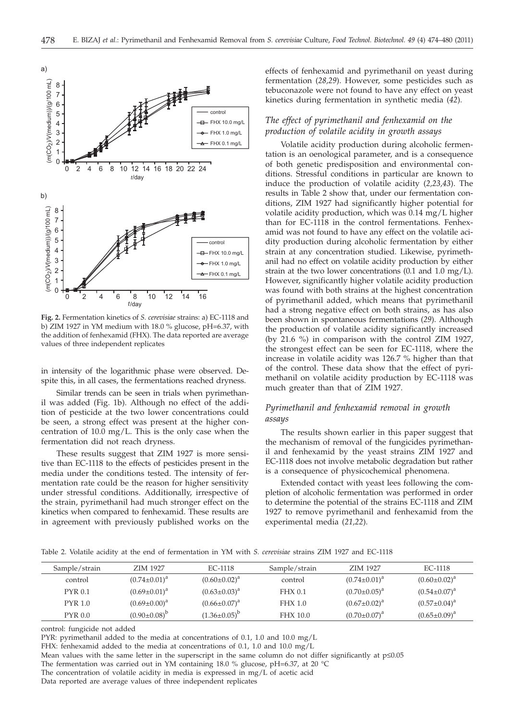

**Fig. 2.** Fermentation kinetics of *S. cerevisiae* strains: a) EC-1118 and b) ZIM 1927 in YM medium with 18.0 % glucose, pH=6.37, with the addition of fenhexamid (FHX). The data reported are average values of three independent replicates

in intensity of the logarithmic phase were observed. Despite this, in all cases, the fermentations reached dryness.

Similar trends can be seen in trials when pyrimethanil was added (Fig. 1b). Although no effect of the addition of pesticide at the two lower concentrations could be seen, a strong effect was present at the higher concentration of 10.0 mg/L. This is the only case when the fermentation did not reach dryness.

These results suggest that ZIM 1927 is more sensitive than EC-1118 to the effects of pesticides present in the media under the conditions tested. The intensity of fermentation rate could be the reason for higher sensitivity under stressful conditions. Additionally, irrespective of the strain, pyrimethanil had much stronger effect on the kinetics when compared to fenhexamid. These results are in agreement with previously published works on the

effects of fenhexamid and pyrimethanil on yeast during fermentation (*28,29*). However, some pesticides such as tebuconazole were not found to have any effect on yeast kinetics during fermentation in synthetic media (*42*)*.*

# *The effect of pyrimethanil and fenhexamid on the production of volatile acidity in growth assays*

Volatile acidity production during alcoholic fermentation is an oenological parameter, and is a consequence of both genetic predisposition and environmental conditions. Stressful conditions in particular are known to induce the production of volatile acidity (*2,23,43*). The results in Table 2 show that, under our fermentation conditions, ZIM 1927 had significantly higher potential for volatile acidity production, which was 0.14 mg/L higher than for EC-1118 in the control fermentations. Fenhexamid was not found to have any effect on the volatile acidity production during alcoholic fermentation by either strain at any concentration studied. Likewise, pyrimethanil had no effect on volatile acidity production by either strain at the two lower concentrations (0.1 and 1.0 mg/L). However, significantly higher volatile acidity production was found with both strains at the highest concentration of pyrimethanil added, which means that pyrimethanil had a strong negative effect on both strains, as has also been shown in spontaneous fermentations (*29*). Although the production of volatile acidity significantly increased (by 21.6 %) in comparison with the control ZIM 1927, the strongest effect can be seen for EC-1118, where the increase in volatile acidity was 126.7 % higher than that of the control. These data show that the effect of pyrimethanil on volatile acidity production by EC-1118 was much greater than that of ZIM 1927.

# *Pyrimethanil and fenhexamid removal in growth assays*

The results shown earlier in this paper suggest that the mechanism of removal of the fungicides pyrimethanil and fenhexamid by the yeast strains ZIM 1927 and EC-1118 does not involve metabolic degradation but rather is a consequence of physicochemical phenomena.

Extended contact with yeast lees following the completion of alcoholic fermentation was performed in order to determine the potential of the strains EC-1118 and ZIM 1927 to remove pyrimethanil and fenhexamid from the experimental media (*21,22*).

Table 2. Volatile acidity at the end of fermentation in YM with *S. cerevisiae* strains ZIM 1927 and EC-1118

| Sample/strain  | ZIM 1927            | EC-1118             | Sample/strain   | ZIM 1927            | EC-1118             |
|----------------|---------------------|---------------------|-----------------|---------------------|---------------------|
| control        | $(0.74 \pm 0.01)^a$ | $(0.60 \pm 0.02)^a$ | control         | $(0.74 \pm 0.01)^a$ | $(0.60 \pm 0.02)^a$ |
| <b>PYR 0.1</b> | $(0.69 \pm 0.01)^a$ | $(0.63 \pm 0.03)^a$ | FHX 0.1         | $(0.70 \pm 0.05)^a$ | $(0.54 \pm 0.07)^a$ |
| <b>PYR 1.0</b> | $(0.69 \pm 0.00)^a$ | $(0.66 \pm 0.07)^a$ | FHX 1.0         | $(0.67 \pm 0.02)^a$ | $(0.57 \pm 0.04)^a$ |
| PYR 0.0        | $(0.90\pm0.08)^{b}$ | $(1.36\pm0.05)^b$   | <b>FHX 10.0</b> | $(0.70 \pm 0.07)^a$ | $(0.65 \pm 0.09)^a$ |

control: fungicide not added

PYR: pyrimethanil added to the media at concentrations of 0.1, 1.0 and 10.0 mg/L

FHX: fenhexamid added to the media at concentrations of 0.1, 1.0 and 10.0 mg/L

Mean values with the same letter in the superscript in the same column do not differ significantly at  $p\leq 0.05$ 

The fermentation was carried out in YM containing 18.0 % glucose, pH=6.37, at 20 °C

The concentration of volatile acidity in media is expressed in mg/L of acetic acid

Data reported are average values of three independent replicates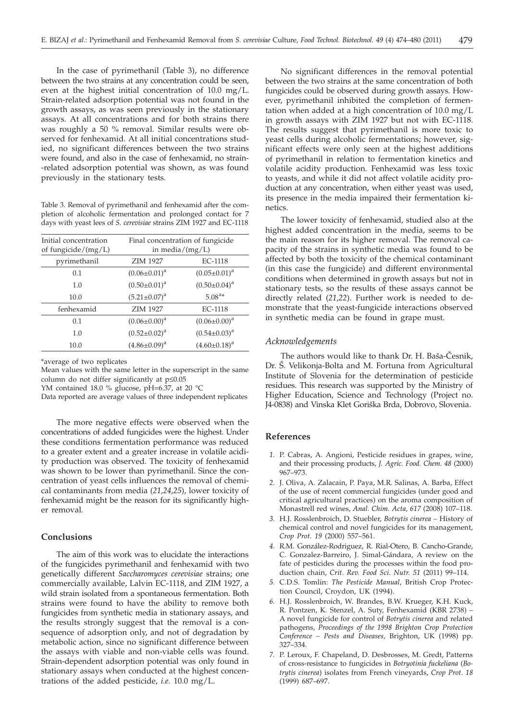In the case of pyrimethanil (Table 3), no difference between the two strains at any concentration could be seen, even at the highest initial concentration of 10.0 mg/L. Strain-related adsorption potential was not found in the growth assays, as was seen previously in the stationary assays. At all concentrations and for both strains there was roughly a 50 % removal. Similar results were observed for fenhexamid. At all initial concentrations studied, no significant differences between the two strains were found, and also in the case of fenhexamid, no strain- -related adsorption potential was shown, as was found previously in the stationary tests.

Table 3. Removal of pyrimethanil and fenhexamid after the completion of alcoholic fermentation and prolonged contact for 7 days with yeast lees of *S. cerevisiae* strains ZIM 1927 and EC-1118

| Initial concentration<br>of fungicide/ $(mg/L)$ | Final concentration of fungicide<br>in media/ $(mg/L)$ |                     |  |
|-------------------------------------------------|--------------------------------------------------------|---------------------|--|
| pyrimethanil                                    | <b>ZIM 1927</b>                                        | EC-1118             |  |
| 0.1                                             | $(0.06 \pm 0.01)^a$                                    | $(0.05 \pm 0.01)^a$ |  |
| 1.0                                             | $(0.50 \pm 0.01)^a$                                    | $(0.50 \pm 0.04)^a$ |  |
| 10.0                                            | $(5.21 \pm 0.07)^a$                                    | $5.08^{a*}$         |  |
| fenhexamid                                      | <b>ZIM 1927</b>                                        | EC-1118             |  |
| 0.1                                             | $(0.06 \pm 0.00)^a$                                    | $(0.06 \pm 0.00)^a$ |  |
| 1.0                                             | $(0.52 \pm 0.02)^a$                                    | $(0.54 \pm 0.03)^a$ |  |
| 10.0                                            | $(4.86 \pm 0.09)^a$                                    | $(4.60 \pm 0.18)^a$ |  |

\*average of two replicates

Mean values with the same letter in the superscript in the same column do not differ significantly at  $p \leq 0.05$ 

YM contained 18.0 % glucose, pH=6.37, at 20 °C

Data reported are average values of three independent replicates

The more negative effects were observed when the concentrations of added fungicides were the highest. Under these conditions fermentation performance was reduced to a greater extent and a greater increase in volatile acidity production was observed. The toxicity of fenhexamid was shown to be lower than pyrimethanil. Since the concentration of yeast cells influences the removal of chemical contaminants from media (*21,24,25*), lower toxicity of fenhexamid might be the reason for its significantly higher removal.

## **Conclusions**

The aim of this work was to elucidate the interactions of the fungicides pyrimethanil and fenhexamid with two genetically different *Saccharomyces cerevisiae* strains; one commercially available, Lalvin EC-1118, and ZIM 1927, a wild strain isolated from a spontaneous fermentation. Both strains were found to have the ability to remove both fungicides from synthetic media in stationary assays, and the results strongly suggest that the removal is a consequence of adsorption only, and not of degradation by metabolic action, since no significant difference between the assays with viable and non-viable cells was found. Strain-dependent adsorption potential was only found in stationary assays when conducted at the highest concentrations of the added pesticide, *i.e.* 10.0 mg/L.

No significant differences in the removal potential between the two strains at the same concentration of both fungicides could be observed during growth assays. However, pyrimethanil inhibited the completion of fermentation when added at a high concentration of 10.0 mg/L in growth assays with ZIM 1927 but not with EC-1118. The results suggest that pyrimethanil is more toxic to yeast cells during alcoholic fermentations; however, significant effects were only seen at the highest additions of pyrimethanil in relation to fermentation kinetics and volatile acidity production. Fenhexamid was less toxic to yeasts, and while it did not affect volatile acidity production at any concentration, when either yeast was used, its presence in the media impaired their fermentation kinetics.

The lower toxicity of fenhexamid, studied also at the highest added concentration in the media, seems to be the main reason for its higher removal. The removal capacity of the strains in synthetic media was found to be affected by both the toxicity of the chemical contaminant (in this case the fungicide) and different environmental conditions when determined in growth assays but not in stationary tests, so the results of these assays cannot be directly related (*21,22*). Further work is needed to demonstrate that the yeast-fungicide interactions observed in synthetic media can be found in grape must.

## *Acknowledgements*

The authors would like to thank Dr. H. Baša-Česnik, Dr. Š. Velikonja-Bolta and M. Fortuna from Agricultural Institute of Slovenia for the determination of pesticide residues. This research was supported by the Ministry of Higher Education, Science and Technology (Project no. J4-0838) and Vinska Klet Goriška Brda, Dobrovo, Slovenia.

## **References**

- *1.* P. Cabras, A. Angioni, Pesticide residues in grapes, wine, and their processing products, *J. Agric. Food. Chem*. *48* (2000) 967–973.
- *2.* J. Oliva, A. Zalacain, P. Paya, M.R. Salinas, A. Barba, Effect of the use of recent commercial fungicides (under good and critical agricultural practices) on the aroma composition of Monastrell red wines, *Anal. Chim. Acta, 617* (2008) 107–118.
- *3.* H.J. Rosslenbroich, D. Stuebler, *Botrytis cinerea –* History of chemical control and novel fungicides for its management, *Crop Prot*. *19* (2000) 557–561.
- *4.* R.M. González-Rodriguez, R. Rial-Otero, B. Cancho-Grande, C. Gonzalez-Barreiro, J. Simal-Gándara, A review on the fate of pesticides during the processes within the food production chain, *Crit. Rev. Food Sci. Nutr. 51* (2011) 99–114.
- *5.* C.D.S. Tomlin: *The Pesticide Manual*, British Crop Protection Council, Croydon, UK (1994).
- *6.* H.J. Rosslenbroich, W. Brandes, B.W. Krueger, K.H. Kuck, R. Pontzen, K. Stenzel, A. Suty, Fenhexamid (KBR 2738) – A novel fungicide for control of *Botrytis cinerea* and related pathogens, *Proceedings of the 1998 Brighton Crop Protection Conference – Pests and Diseases,* Brighton, UK (1998) pp. 327–334.
- *7.* P. Leroux, F. Chapeland, D. Desbrosses, M. Gredt, Patterns of cross-resistance to fungicides in *Botryotinia fuckeliana* (*Botrytis cinerea*) isolates from French vineyards, *Crop Prot*. *18* (1999) 687–697.